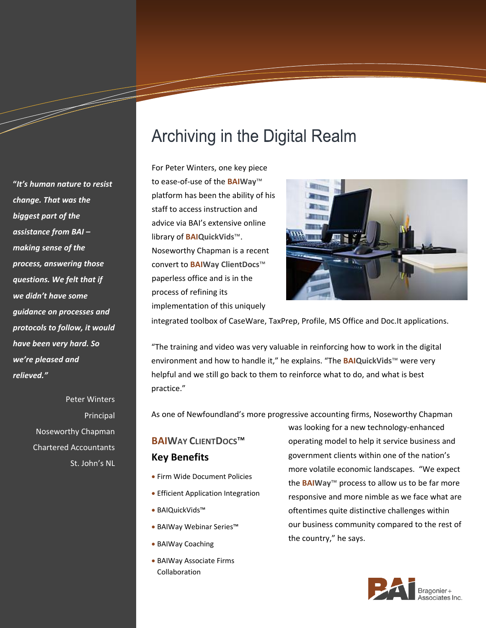**"***It's human nature to resist change. That was the biggest part of the assistance from BAI – making sense of the process, answering those questions. We felt that if we didn't have some guidance on processes and protocols to follow, it would have been very hard. So we're pleased and relieved."*

a dheka waxaa ku dheegaalka dheegaalka dheegaalka dheegaalka dheegaalka dheegaalka dheegaalka dheegaalka dheeg<br>Markooyinka dheegaalka dheegaalka dheegaalka dheegaalka dheegaalka dheegaalka dheegaalka dheegaalka dheegaalka

Peter Winters Principal Noseworthy Chapman Chartered Accountants St. John's NL

# **Archiving in the Digital Realm**

For Peter Winters, one key piece to ease-of-use of the **BAIWay**™ platform has been the ability of his staff to access instruction and advice via BAI's extensive online library of **BAIQuickVids**™. Noseworthy Chapman is a recent convert to **BAIWay ClientDocs**™ paperless office and is in the process of refining its implementation of this uniquely



integrated toolbox of CaseWare, TaxPrep, Profile, MS Office and Doc.It applications.

"The training and video was very valuable in reinforcing how to work in the digital environment and how to handle it," he explains. "The **BAIQuickVids**™ were very helpful and we still go back to them to reinforce what to do, and what is best practice."

As one of Newfoundland's more progressive accounting firms, Noseworthy Chapman

## **BAIWAY CLIENTDOCS**™ **Key Benefits**

- Firm Wide Document Policies
- **Efficient Application Integration**
- BAIQuickVids™
- BAIWay Webinar Series™
- BAIWay Coaching
- BAIWay Associate Firms Collaboration

was looking for a new technology-enhanced operating model to help it service business and government clients within one of the nation's more volatile economic landscapes. "We expect the **BAIWay**™ process to allow us to be far more responsive and more nimble as we face what are oftentimes quite distinctive challenges within our business community compared to the rest of the country," he says.